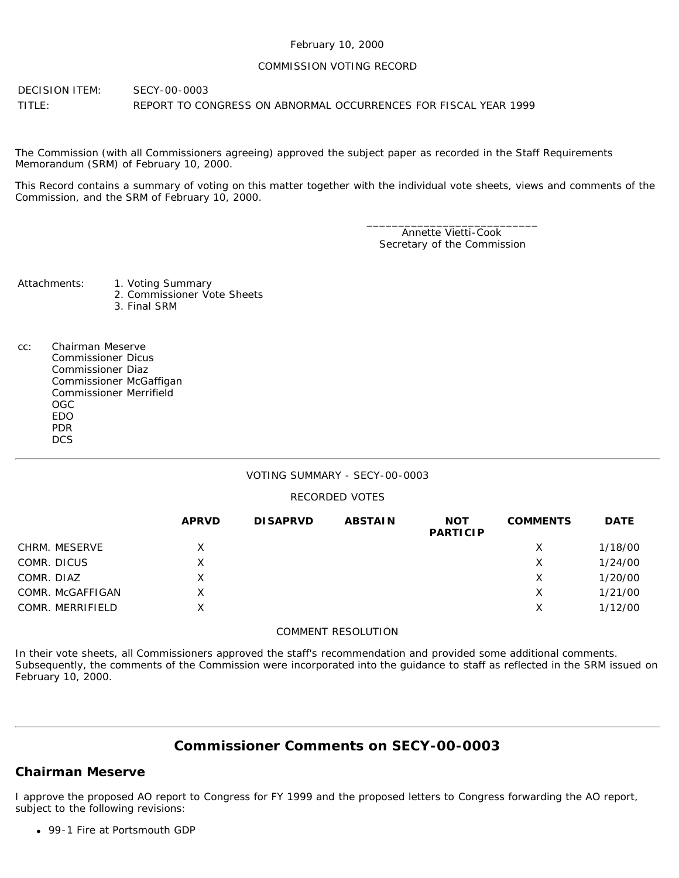#### February 10, 2000

#### COMMISSION VOTING RECORD

DECISION ITEM: SECY-00-0003 TITLE: REPORT TO CONGRESS ON ABNORMAL OCCURRENCES FOR FISCAL YEAR 1999

The Commission (with all Commissioners agreeing) approved the subject paper as recorded in the Staff Requirements Memorandum (SRM) of February 10, 2000.

This Record contains a summary of voting on this matter together with the individual vote sheets, views and comments of the Commission, and the SRM of February 10, 2000.

> \_\_\_\_\_\_\_\_\_\_\_\_\_\_\_\_\_\_\_\_\_\_\_\_\_\_\_ Annette Vietti-Cook Secretary of the Commission

Attachments: 1. Voting Summary

- - 2. Commissioner Vote Sheets
	- 3. Final SRM
- cc: Chairman Meserve Commissioner Dicus Commissioner Diaz Commissioner McGaffigan Commissioner Merrifield OGC EDO PDR **DCS**

### VOTING SUMMARY - SECY-00-0003

### RECORDED VOTES

|                  | <b>APRVD</b> | <b>DISAPRVD</b> | <b>ABSTAIN</b> | <b>NOT</b><br><b>PARTICIP</b> | <b>COMMENTS</b> | <b>DATE</b> |
|------------------|--------------|-----------------|----------------|-------------------------------|-----------------|-------------|
| CHRM. MESERVE    | X            |                 |                |                               | X               | 1/18/00     |
| COMR. DICUS      | Χ            |                 |                |                               | X               | 1/24/00     |
| COMR. DIAZ       | x            |                 |                |                               | х               | 1/20/00     |
| COMR. McGAFFIGAN | Χ            |                 |                |                               | X               | 1/21/00     |
| COMR. MERRIFIELD | X            |                 |                |                               | х               | 1/12/00     |

#### COMMENT RESOLUTION

In their vote sheets, all Commissioners approved the staff's recommendation and provided some additional comments. Subsequently, the comments of the Commission were incorporated into the guidance to staff as reflected in the SRM issued on February 10, 2000.

# **Commissioner Comments on [SECY-00-0003](http://www.nrc.gov/reading-rm/doc-collections/commission/secys/2000/secy2000-0003/2000-0003scy.html)**

## **Chairman Meserve**

I approve the proposed AO report to Congress for FY 1999 and the proposed letters to Congress forwarding the AO report, subject to the following revisions:

99-1 Fire at Portsmouth GDP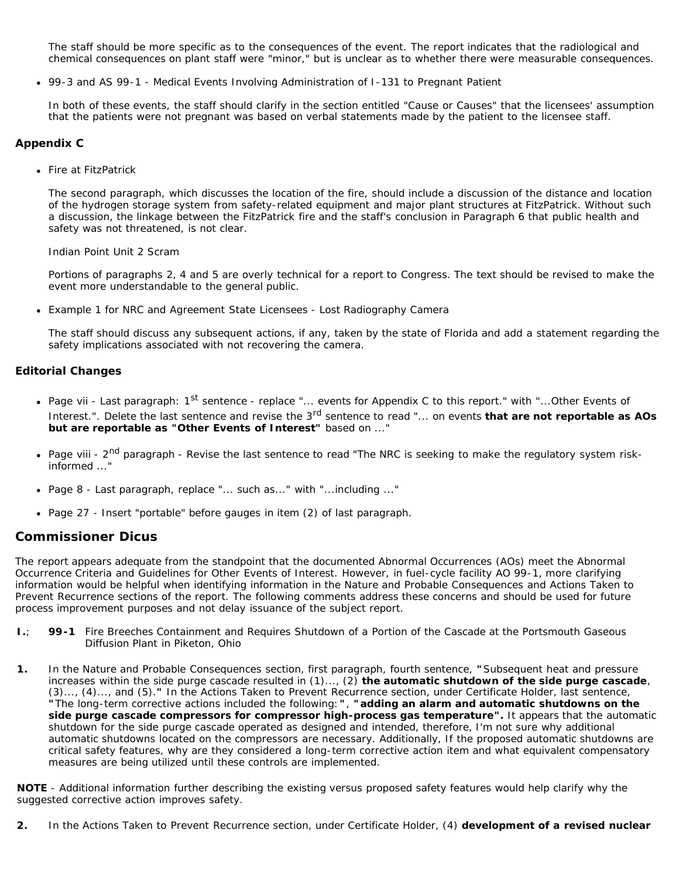The staff should be more specific as to the consequences of the event. The report indicates that the radiological and chemical consequences on plant staff were "minor," but is unclear as to whether there were measurable consequences.

99-3 and AS 99-1 - Medical Events Involving Administration of I-131 to Pregnant Patient

In both of these events, the staff should clarify in the section entitled "Cause or Causes" that the licensees' assumption that the patients were not pregnant was based on verbal statements made by the patient to the licensee staff.

### **Appendix C**

• Fire at FitzPatrick

The second paragraph, which discusses the location of the fire, should include a discussion of the distance and location of the hydrogen storage system from safety-related equipment and major plant structures at FitzPatrick. Without such a discussion, the linkage between the FitzPatrick fire and the staff's conclusion in Paragraph 6 that public health and safety was not threatened, is not clear.

Indian Point Unit 2 Scram

Portions of paragraphs 2, 4 and 5 are overly technical for a report to Congress. The text should be revised to make the event more understandable to the general public.

Example 1 for NRC and Agreement State Licensees - Lost Radiography Camera

The staff should discuss any subsequent actions, if any, taken by the state of Florida and add a statement regarding the safety implications associated with not recovering the camera.

### **Editorial Changes**

- Page vii Last paragraph: 1<sup>st</sup> sentence replace "... events for Appendix C to this report." with "...Other Events of Interest.". Delete the last sentence and revise the 3<sup>rd</sup> sentence to read "... on events **that are not reportable as AOs but are reportable as "Other Events of Interest"** based on ..."
- Page viii 2<sup>nd</sup> paragraph Revise the last sentence to read "The NRC is seeking to make the regulatory system riskinformed ..."
- Page 8 Last paragraph, replace "... such as..." with "...including ..."
- Page 27 Insert "portable" before gauges in item (2) of last paragraph.

### **Commissioner Dicus**

The report appears adequate from the standpoint that the documented Abnormal Occurrences (AOs) meet the Abnormal Occurrence Criteria and Guidelines for Other Events of Interest. However, in fuel-cycle facility AO 99-1, more clarifying information would be helpful when identifying information in the Nature and Probable Consequences and Actions Taken to Prevent Recurrence sections of the report. The following comments address these concerns and should be used for future process improvement purposes and not delay issuance of the subject report.

- *I.*; **99-1** Fire Breeches Containment and Requires Shutdown of a Portion of the Cascade at the Portsmouth Gaseous Diffusion Plant in Piketon, Ohio
- *1.* In the Nature and Probable Consequences section, first paragraph, fourth sentence, **"**Subsequent heat and pressure increases within the side purge cascade resulted in (1)..., (2) **the automatic shutdown of the side purge cascade**, (3)..., (4)..., and (5).*"* In the Actions Taken to Prevent Recurrence section, under Certificate Holder, last sentence, *"*The long-term corrective actions included the following:*"*, *"***adding an alarm and automatic shutdowns on the side purge cascade compressors for compressor high-process gas temperature***".* It appears that the automatic shutdown for the side purge cascade operated as designed and intended, therefore, I'm not sure why additional automatic shutdowns located on the compressors are necessary. Additionally, If the proposed automatic shutdowns are critical safety features, why are they considered a long-term corrective action item and what equivalent compensatory measures are being utilized until these controls are implemented.

**NOTE** - Additional information further describing the existing versus proposed safety features would help clarify why the suggested corrective action improves safety.

*2.* In the Actions Taken to Prevent Recurrence section, under Certificate Holder, (4) **development of a revised nuclear**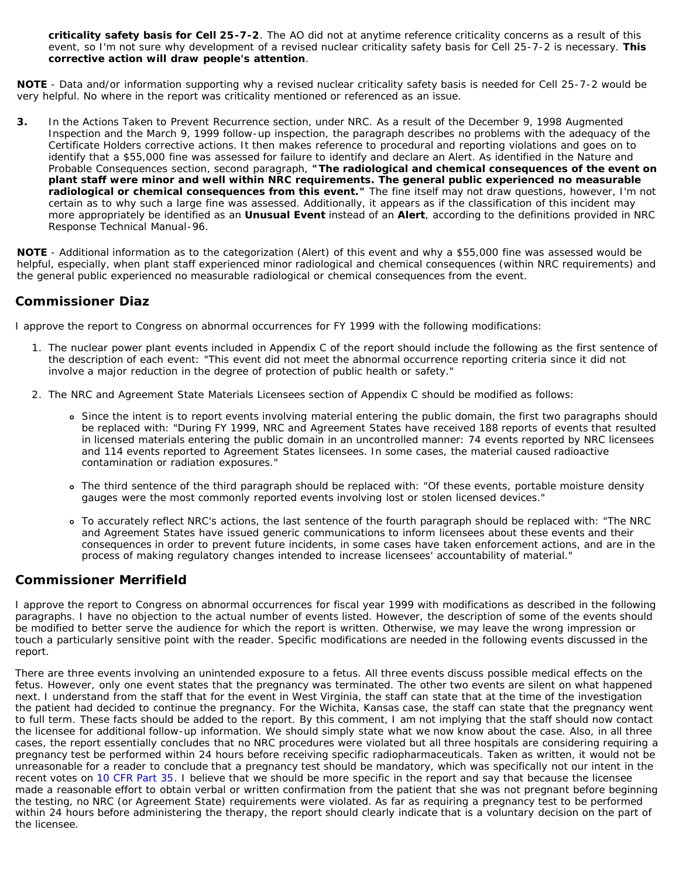**criticality safety basis for Cell 25-7-2**. The AO did not at anytime reference criticality concerns as a result of this event, so I'm not sure why development of a revised nuclear criticality safety basis for Cell 25-7-2 is necessary. **This corrective action will draw people's attention**.

**NOTE** - Data and/or information supporting why a revised nuclear criticality safety basis is needed for Cell 25-7-2 would be very helpful. No where in the report was criticality mentioned or referenced as an issue.

*3.* In the Actions Taken to Prevent Recurrence section, under NRC. As a result of the December 9, 1998 Augmented Inspection and the March 9, 1999 follow-up inspection, the paragraph describes no problems with the adequacy of the Certificate Holders corrective actions. It then makes reference to procedural and reporting violations and goes on to identify that a \$55,000 fine was assessed for failure to identify and declare an Alert. As identified in the Nature and Probable Consequences section, second paragraph, *"***The radiological and chemical consequences of the event on plant staff were minor and well within NRC requirements. The general public experienced no measurable radiological or chemical consequences from this event.***"* The fine itself may not draw questions, however, I'm not certain as to why such a large fine was assessed. Additionally, it appears as if the classification of this incident may more appropriately be identified as an **Unusual Event** instead of an **Alert**, according to the definitions provided in NRC Response Technical Manual-96.

**NOTE** - Additional information as to the categorization (Alert) of this event and why a \$55,000 fine was assessed would be helpful, especially, when plant staff experienced minor radiological and chemical consequences (within NRC requirements) and the general public experienced no measurable radiological or chemical consequences from the event.

## **Commissioner Diaz**

I approve the report to Congress on abnormal occurrences for FY 1999 with the following modifications:

- 1. The nuclear power plant events included in Appendix C of the report should include the following as the first sentence of the description of each event: "This event did not meet the abnormal occurrence reporting criteria since it did not involve a major reduction in the degree of protection of public health or safety."
- 2. The NRC and Agreement State Materials Licensees section of Appendix C should be modified as follows:
	- Since the intent is to report events involving material entering the public domain, the first two paragraphs should be replaced with: "During FY 1999, NRC and Agreement States have received 188 reports of events that resulted in licensed materials entering the public domain in an uncontrolled manner: 74 events reported by NRC licensees and 114 events reported to Agreement States licensees. In some cases, the material caused radioactive contamination or radiation exposures."
	- The third sentence of the third paragraph should be replaced with: "Of these events, portable moisture density gauges were the most commonly reported events involving lost or stolen licensed devices."
	- To accurately reflect NRC's actions, the last sentence of the fourth paragraph should be replaced with: "The NRC and Agreement States have issued generic communications to inform licensees about these events and their consequences in order to prevent future incidents, in some cases have taken enforcement actions, and are in the process of making regulatory changes intended to increase licensees' accountability of material."

## **Commissioner Merrifield**

I approve the report to Congress on abnormal occurrences for fiscal year 1999 with modifications as described in the following paragraphs. I have no objection to the actual number of events listed. However, the description of some of the events should be modified to better serve the audience for which the report is written. Otherwise, we may leave the wrong impression or touch a particularly sensitive point with the reader. Specific modifications are needed in the following events discussed in the report.

There are three events involving an unintended exposure to a fetus. All three events discuss possible medical effects on the fetus. However, only one event states that the pregnancy was terminated. The other two events are silent on what happened next. I understand from the staff that for the event in West Virginia, the staff can state that at the time of the investigation the patient had decided to continue the pregnancy. For the Wichita, Kansas case, the staff can state that the pregnancy went to full term. These facts should be added to the report. By this comment, I am not implying that the staff should now contact the licensee for additional follow-up information. We should simply state what we now know about the case. Also, in all three cases, the report essentially concludes that no NRC procedures were violated but all three hospitals are considering requiring a pregnancy test be performed within 24 hours before receiving specific radiopharmaceuticals. Taken as written, it would not be unreasonable for a reader to conclude that a pregnancy test should be mandatory, which was specifically not our intent in the recent votes on [10 CFR Part 35](http://www.nrc.gov/reading-rm/doc-collections/cfr/part035/index.html). I believe that we should be more specific in the report and say that because the licensee made a reasonable effort to obtain verbal or written confirmation from the patient that she was not pregnant before beginning the testing, no NRC (or Agreement State) requirements were violated. As far as requiring a pregnancy test to be performed within 24 hours before administering the therapy, the report should clearly indicate that is a voluntary decision on the part of the licensee.